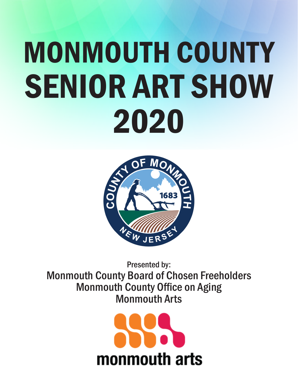## MONMOUTH COUNTY SENIOR ART SHOW 2020



Presented by: Monmouth County Board of Chosen Freeholders Monmouth County Office on Aging Monmouth Arts

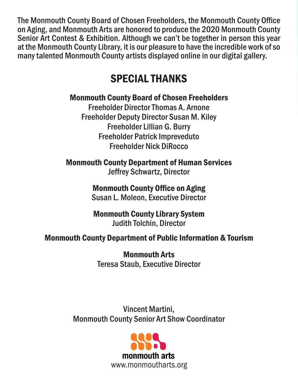The Monmouth County Board of Chosen Freeholders, the Monmouth County Office on Aging, and Monmouth Arts are honored to produce the 2020 Monmouth County Senior Art Contest & Exhibition. Although we can't be together in person this year at the Monmouth County Library, it is our pleasure to have the incredible work of so many talented Monmouth County artists displayed online in our digital gallery.

#### SPECIAL THANKS

#### Monmouth County Board of Chosen Freeholders

Freeholder Director Thomas A. Arnone Freeholder Deputy Director Susan M. Kiley Freeholder Lillian G. Burry Freeholder Patrick Impreveduto Freeholder Nick DiRocco

Monmouth County Department of Human Services Jeffrey Schwartz, Director

#### Monmouth County Office on Aging Susan L. Moleon, Executive Director

#### Monmouth County Library System Judith Tolchin, Director

#### Monmouth County Department of Public Information & Tourism

Monmouth Arts Teresa Staub, Executive Director

Vincent Martini, Monmouth County Senior Art Show Coordinator

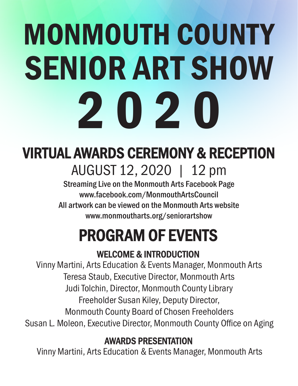# MONMOUTH COUNTY SENIOR ART SHOW 2020

## VIRTUAL AWARDS CEREMONY & RECEPTION AUGUST 12, 2020 | 12 pm

Streaming Live on the Monmouth Arts Facebook Page www.facebook.com/MonmouthArtsCouncil All artwork can be viewed on the Monmouth Arts website www.monmoutharts.org/seniorartshow

## PROGRAM OF EVENTS

#### WELCOME & INTRODUCTION

Vinny Martini, Arts Education & Events Manager, Monmouth Arts Teresa Staub, Executive Director, Monmouth Arts Judi Tolchin, Director, Monmouth County Library Freeholder Susan Kiley, Deputy Director, Monmouth County Board of Chosen Freeholders Susan L. Moleon, Executive Director, Monmouth County Office on Aging

#### AWARDS PRESENTATION

Vinny Martini, Arts Education & Events Manager, Monmouth Arts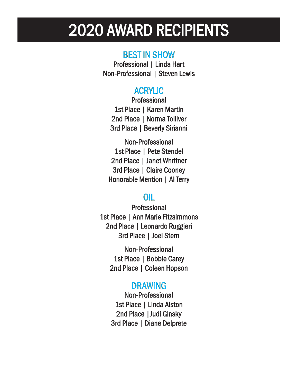## 2020 AWARD RECIPIENTS

#### BEST IN SHOW

Professional | Linda Hart Non-Professional | Steven Lewis

#### ACRYLIC

Professional 1st Place | Karen Martin 2nd Place | Norma Tolliver 3rd Place | Beverly Sirianni

Non-Professional 1st Place | Pete Stendel 2nd Place | Janet Whritner 3rd Place | Claire Cooney Honorable Mention | Al Terry

#### OIL

Professional 1st Place | Ann Marie Fitzsimmons 2nd Place | Leonardo Ruggieri 3rd Place | Joel Stern

Non-Professional 1st Place | Bobbie Carey 2nd Place | Coleen Hopson

#### DRAWING

Non-Professional 1st Place | Linda Alston 2nd Place |Judi Ginsky 3rd Place | Diane Delprete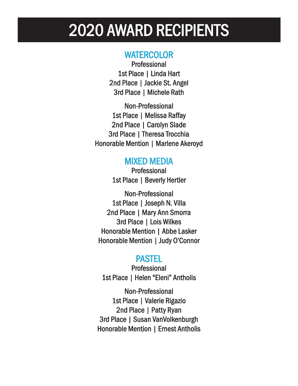## 2020 AWARD RECIPIENTS

#### **WATERCOLOR**

**Professional** 1st Place | Linda Hart 2nd Place | Jackie St. Angel 3rd Place | Michele Rath

Non-Professional 1st Place | Melissa Raffay 2nd Place | Carolyn Slade 3rd Place | Theresa Trocchia Honorable Mention | Marlene Akeroyd

#### MIXED MEDIA

**Professional** 1st Place | Beverly Hertler

Non-Professional 1st Place | Joseph N. Villa 2nd Place | Mary Ann Smorra 3rd Place | Lois Wilkes Honorable Mention | Abbe Lasker Honorable Mention | Judy O'Connor

#### PASTEL

**Professional** 1st Place | Helen "Eleni" Antholis

Non-Professional 1st Place | Valerie Rigazio 2nd Place | Patty Ryan 3rd Place | Susan VanVolkenburgh Honorable Mention | Ernest Antholis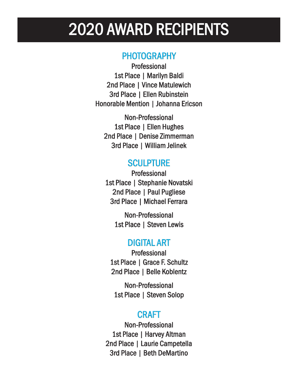## 2020 AWARD RECIPIENTS

#### **PHOTOGRAPHY**

Professional 1st Place | Marilyn Baldi 2nd Place | Vince Matulewich 3rd Place | Ellen Rubinstein Honorable Mention | Johanna Ericson

Non-Professional 1st Place | Ellen Hughes 2nd Place | Denise Zimmerman 3rd Place | William Jelinek

#### **SCULPTURE**

**Professional** 1st Place | Stephanie Novatski 2nd Place | Paul Pugliese 3rd Place | Michael Ferrara

> Non-Professional 1st Place | Steven Lewis

#### DIGITAL ART

Professional 1st Place | Grace F. Schultz 2nd Place | Belle Koblentz

Non-Professional 1st Place | Steven Solop

#### CRAFT

Non-Professional 1st Place | Harvey Altman 2nd Place | Laurie Campetella 3rd Place | Beth DeMartino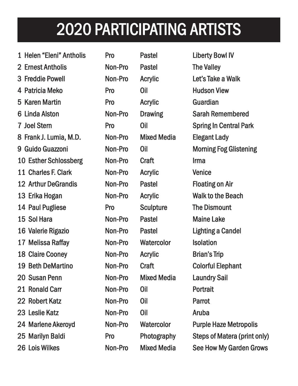- 1 Helen "Eleni" Antholis Pro Pastel Liberty Bowl IV
- 2 Ernest Antholis **Non-Pro** Pastel The Valley
- 
- 
- 
- 
- 
- 8 Frank J. Lumia, M.D. Non-Pro Mixed Media Elegant Lady
- 
- 10 Esther Schlossberg Non-Pro Craft Irma
- 11 Charles F. Clark **Non-Pro** Acrylic Venice
- 12 Arthur DeGrandis **Non-Pro** Pastel **Pastel** Floating on Air
- 
- 
- 
- 
- 
- 
- 
- 
- 
- 
- 
- 
- 
- 
- 
- 

4 Patricia Meko **Pro Pro Cilly Communist Communist Pro** Cil Hudson View 5 Karen Martin **Martin Company Pro** Acrylic Guardian 14 Paul Pugliese **Pro** Sculpture The Dismount 15 Sol Hara **Non-Pro Pastel Maine Lake** 17 Melissa Raffay **Raffay** Non-Pro Watercolor Isolation 18 Claire Cooney **Cooney** Non-Pro Acrylic **Cooney** Brian's Trip 20 Susan Penn **Non-Pro** Mixed Media Laundry Sail 21 Ronald Carr **Non-Pro** Oil **Portrait** 22 Robert Katz **Non-Pro** Oil **Parrot** 23 Leslie Katz **Non-Pro** Oil Aruba

3 Freddie Powell **Non-Pro** Acrylic Let's Take a Walk 6 Linda Alston **Non-Pro** Drawing Sarah Remembered 7 Joel Stern **Stern Stern Pro** Oil Spring In Central Park 9 Guido Guazzoni **Non-Pro** Oil **Morning Fog Glistening** 13 Erika Hogan **Non-Pro** Acrylic Walk to the Beach 16 Valerie Rigazio Rigazio Non-Pro Non-Pro Pastel Lighting a Candel 19 Beth DeMartino **Non-Pro** Craft Colorful Elephant 24 Marlene Akeroyd Mon-Pro Watercolor Purple Haze Metropolis 25 Marilyn Baldi **Pro** Photography Steps of Matera (print only) 26 Lois Wilkes Non-Pro Mixed Media See How My Garden Grows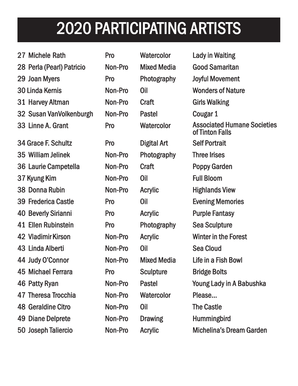- 27 Michele Rath **Pro** Watercolor Lady in Waiting
- 
- 
- 
- 
- 32 Susan VanVolkenburgh Non-Pro Pastel Cougar 1
- 33 Linne A. Grant Pro Pro Watercolor
- 34 Grace F. Schultz **Pro** Digital Art Self Portrait 35 William Jelinek Non-Pro Photography Three Irises 36 Laurie Campetella Non-Pro Craft Poppy Garden 37 Kyung Kim Non-Pro Oil Full Bloom 38 Donna Rubin **Non-Pro** Acrylic Highlands View 39 Frederica Castle **Pro** Oil Evening Memories 40 Beverly Sirianni Pro Acrylic Purple Fantasy
- 41 Ellen Rubinstein Rubinstein Pro Photography Photography Sea Sculpture
- 43 Linda Alberti Alberti Non-Pro Non-Pro Oil Sea Cloud
- 
- 45 Michael Ferrara **Ferrara** Pro Sculpture Bridge Bolts
- 
- 47 Theresa Trocchia Non-Pro Watercolor Please...
- 48 Geraldine Citro Citro Non-Pro Non-Pro Oil The Castle
- 49 Diane Delprete Non-Pro Drawing Humming bird
- 
- 
- 

28 Perla (Pearl) Patricio Non-Pro Mixed Media Good Samaritan 29 Joan Myers **Myers** Pro Photography Joyful Movement 30 Linda Kernis **Non-Pro** Oil Wonders of Nature 31 Harvey Altman **Non-Pro** Craft Girls Walking 42 Vladimir Kirson Non-Pro Acrylic Winter in the Forest 44 Judy O'Connor **Non-Pro** Mixed Media Life in a Fish Bowl 46 Patty Ryan Non-Pro Pastel Young Lady in A Babushka 50 Joseph Taliercio Taliercio Non-Pro Non-Pro Acrylic Acrylic Michelina's Dream Garden Associated Humane Societies of Tinton Falls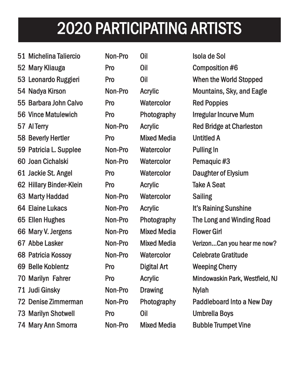- 51 Michelina Taliercio Taliercio Non-Pro Non-Pro Oil Isola de Sol
- 52 Mary Kliauga **Report Composition #6**
- 
- 
- 55 Barbara John Calvo Calvo Pro Watercolor Watercolor Red Poppies
- 
- 
- 58 Beverly Hertler **Pro** Mixed Media Untitled A
- 59 Patricia L. Supplee Non-Pro Watercolor Pulling In
- 60 Joan Cichalski Cichalski Non-Pro Non-Pro Watercolor Watercolor Pemaquic #3
- 
- 62 Hillary Binder-Klein Pro Acrylic Take A Seat
- 63 Marty Haddad **Non-Pro** Watercolor Sailing
- 
- 
- 66 Mary V. Jergens Non-Pro Mixed Media Flower Girl
- 
- 
- 
- 
- 71 Judi Ginsky Non-Pro Drawing Nylah
- 
- 73 Marilyn Shotwell **Shotwell** Pro Oil Dinbrella Boys
- 74 Mary Ann Smorra Non-Pro Mixed Media Bubble Trumpet Vine
- 

53 Leonardo Ruggieri Pro Pro Oil When the World Stopped 54 Nadya Kirson Non-Pro Acrylic Mountains, Sky, and Eagle 56 Vince Matulewich Matulewich Pro Photography Irregular Incurve Mum 57 Al Terry **Non-Pro** Acrylic Red Bridge at Charleston 61 Jackie St. Angel **Pro** Watercolor Daughter of Elysium 64 Elaine Lukacs Non-Pro Acrylic It's Raining Sunshine 65 Ellen Hughes **Non-Pro** Photography The Long and Winding Road 67 Abbe Lasker Non-Pro Mixed Media Verizon...Can you hear me now? 68 Patricia Kossoy Non-Pro Watercolor Celebrate Gratitude 69 Belle Koblentz **Pro** Digital Art Weeping Cherry 70 Marilyn Fahrer **Pro Acrylic** Acrylic Mindowaskin Park, Westfield, NJ 72 Denise Zimmerman Non-Pro Photography Paddleboard Into a New Day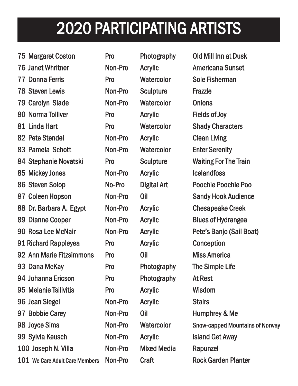93 Dana McKay **Pro** Photography The Simple Life

97 Bobbie Carey **Carey Carey Non-Pro** Oil **Carey Humphrey & Me** 

99 Sylvia Keusch Non-Pro Acrylic Island Get Away

101 We Care Adult Care Members Non-Pro Craft Rock Garden Planter

100 Joseph N. Villa Non-Pro Mixed Media Rapunzel

98 Joyce Sims **Simms** Non-Pro Watercolor Snow-capped Mountains of Norway

94 Johanna Ericson **Pro Photography** At Rest

95 Melanie Tsilivitis **The Contract Contract Contract Acrylic** Wisdom

96 Jean Siegel Non-Pro Acrylic Stairs

- 75 Margaret Coston Coston Pro Photography Photography Old Mill Inn at Dusk
- 76 Janet Whritner Non-Pro Acrylic Americana Sunset
- 77 Donna Ferris **Ferris** Pro Watercolor Sole Fisherman
- 78 Steven Lewis **Lewis** Non-Pro Sculpture Frazzle
- 79 Carolyn Slade **Non-Pro** Watercolor Onions
- 80 Norma Tolliver **Pro** Acrylic Fields of Joy
- 81 Linda Hart **Pro** Watercolor Shady Characters
- 82 Pete Stendel Non-Pro Acrylic Clean Living
- 83 Pamela Schott **Non-Pro** Watercolor Enter Serenity
- 84 Stephanie Novatski Pro Sculpture Waiting For The Train
- 85 Mickey Jones **Non-Pro** Acrylic **Non-Class** Icelandfoss
- 86 Steven Solop Solop No-Pro Digital Art Poochie Poochie Poochie Poo
- 
- 87 Coleen Hopson Non-Pro Oil Sandy Hook Audience
- 88 Dr. Barbara A. Egypt Non-Pro Acrylic Chesapeake Creek
- 
- 89 Dianne Cooper Non-Pro Acrylic Blues of Hydrangea
- 90 Rosa Lee McNair **Non-Pro** Acrylic Pete's Banjo (Sail Boat)
- 
- 91 Richard Rappleyea Pro Acrylic Conception
- 
- 
- 
- 92 Ann Marie Fitzsimmons Pro Oil Miss America
- 
- 
- 
- 
- 
- 
- 
- 
- 
- -
- 
- 
- -
- 
- 
- 
- 
- 
- 
- 
- 
- -
	- -
		-
- -
	-
	-
	-
	-
	-
	-
- 
- 
- 
- -
	-
- 
- 
- -
- 

- 
- 
- 
- 
- 
-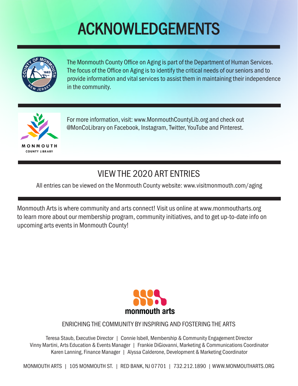## ACKNOWLEDGEMENTS



The Monmouth County Office on Aging is part of the Department of Human Services. The focus of the Office on Aging is to identify the critical needs of our seniors and to provide information and vital services to assist them in maintaining their independence in the community.



For more information, visit: www.MonmouthCountyLib.org and check out @MonCoLibrary on Facebook, Instagram, Twitter, YouTube and Pinterest.

#### VIEW THE 2020 ART ENTRIES

All entries can be viewed on the Monmouth County website: www.visitmonmouth.com/aging

Monmouth Arts is where community and arts connect! Visit us online at www.monmoutharts.org to learn more about our membership program, community initiatives, and to get up-to-date info on upcoming arts events in Monmouth County!



#### ENRICHING THE COMMUNITY BY INSPIRING AND FOSTERING THE ARTS

Teresa Staub, Executive Director | Connie Isbell, Membership & Community Engagement Director Vinny Martini, Arts Education & Events Manager | Frankie DiGiovanni, Marketing & Communications Coordinator Karen Lanning, Finance Manager | Alyssa Calderone, Development & Marketing Coordinator

MONMOUTH ARTS | 105 MONMOUTH ST. | RED BANK, NJ 07701 | 732.212.1890 | WWW.MONMOUTHARTS.ORG